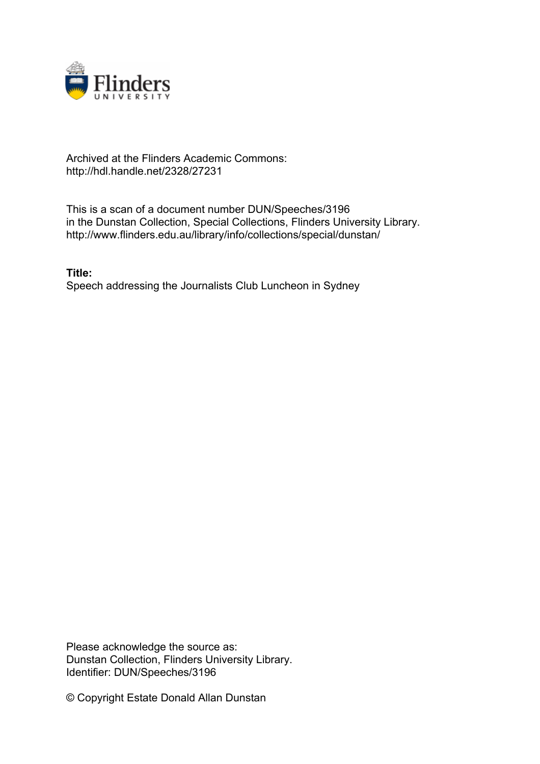

## Archived at the Flinders Academic Commons: http://hdl.handle.net/2328/27231

This is a scan of a document number DUN/Speeches/3196 in the Dunstan Collection, Special Collections, Flinders University Library. http://www.flinders.edu.au/library/info/collections/special/dunstan/

**Title:** Speech addressing the Journalists Club Luncheon in Sydney

Please acknowledge the source as: Dunstan Collection, Flinders University Library. Identifier: DUN/Speeches/3196

© Copyright Estate Donald Allan Dunstan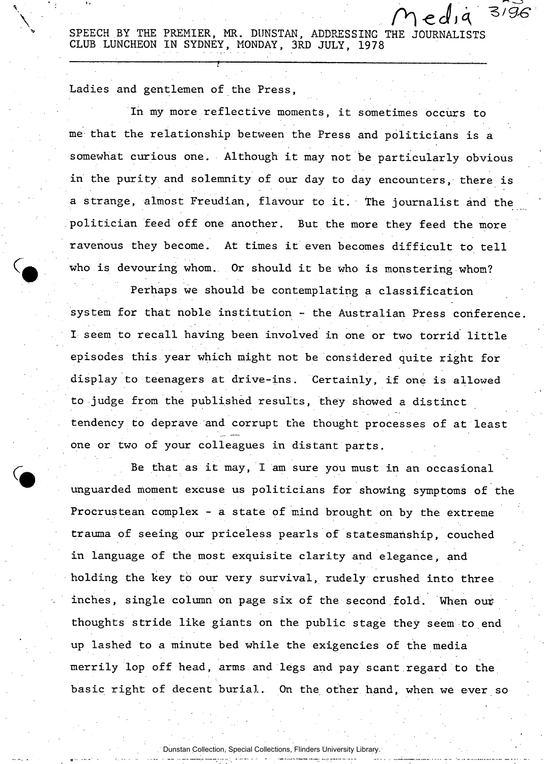SPEECH BY THE PREMIER, MR. DUNSTAN, ADDRESSING THE JOURNALISTS CLUB LUNCHEON IN SYDNEY, MONDAY, 3RD JULY, 1978

 $ed$  $q$ 

 $3/96$ 

: : • —— — .

Ladies and gentlemen of the Press,

In my more reflective moments, it sometimes occurs to me that the relationship between the Press and politicians is a somewhat curious one. Although it may not be particularly obvious in the purity and solemnity of our day to day encounters, there is a strange, almost Freudian, flavour to it. The journalist and the politician feed off one another. But the more they feed the more ravenous they become. At times it even becomes difficult to tell who is devouring whom. Or should it be who is monstering whom?

Perhaps we should be contemplating a classification system for that noble institution - the Australian Press conference. I seem to recall having been involved in one or two torrid little episodes this year which might not be considered quite right for display to teenagers at drive-ins. Certainly, if one is allowed to judge from the published results, they showed a distinct tendency to deprave and corrupt the thought processes of at least one or two of your colleagues in distant parts.

Be that as it may, I am sure you must in an occasional unguarded moment excuse us politicians for showing symptoms of the Procrustean complex - a state of mind brought on by the extreme trauma of seeing our priceless pearls of statesmanship, couched in language of the most exquisite clarity and elegance, and holding the key to our very survival, rudely crushed into three inches, single column on page six of the second fold. When our thoughts stride like giants on the public stage they seem to end up lashed to a minute bed while the exigencies of the media merrily lop off head, arms and legs and pay scant regard to the basic right of decent burial. On the other hand, when we ever so

Dunstan Collection, Special Collections, Flinders University Library.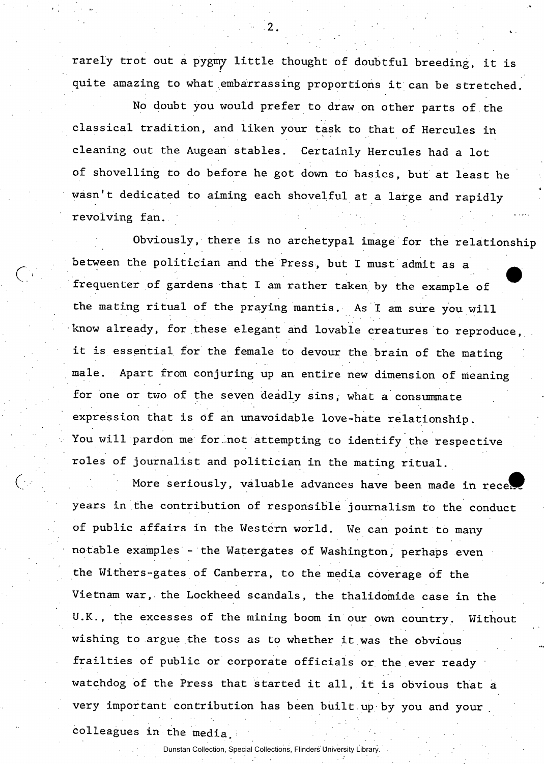rarely trot out a pygmy little thought of doubtful breeding, it is quite amazing to what embarrassing proportions it can be stretched.

No doubt you would prefer to draw on other parts of the classical tradition, and liken your task to that of Hercules in cleaning out the Augean stables. Certainly Hercules had a lot of shovelling to do before he got down to basics, but at least he wasn't dedicated to aiming each shovelful at a large and rapidly revolving fan.

Obviously, there is no archetypal image for the relationship between the politician and the Press, but I must admit as a ^ frequenter of gardens that I am rather taken by the example of the mating ritual of the praying mantis. As I am sure you will know already, for these elegant and lovable creatures to reproduce, it is essential for the female to devour the brain of the mating male. Apart from conjuring up an entire new dimension of meaning for one or two of the seven deadly sins, what a consummate expression that is of an unavoidable love-hate relationship. You will pardon me for not attempting to identify the respective roles of journalist and politician in the mating ritual.

More seriously, valuable advances have been made in rece! years in the contribution of responsible journalism to the conduct of public affairs in the Western world. We can point to many notable examples - the Watergates of Washington, perhaps even the Withers-gates of Canberra, to the media coverage of the Vietnam war, the Lockheed scandals, the thalidomide case in the U.K., the excesses of the mining boom in our own country. Without wishing to argue the toss as to whether it was the obvious frailties of public or corporate officials or the ever ready watchdog of the Press that started it all, it is obvious that a very important contribution has been built up by you and your colleagues in the media.

Dunstan Collection, Special Collections, Flinders University Library.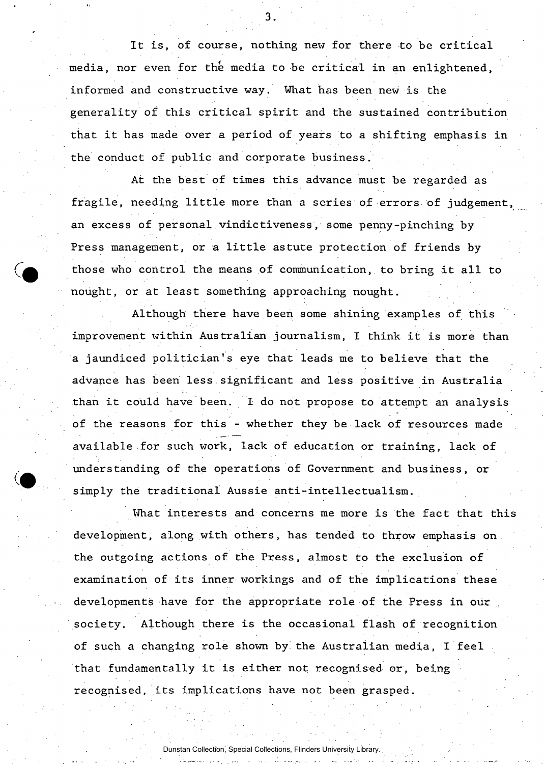It is, of course, nothing new for there to be critical media, nor even for the media to be critical in an enlightened, informed and constructive way. What has been new is the generality of this critical spirit and the sustained contribution that it has made over a period of years to a shifting emphasis in the conduct of public and corporate business.

At the best of times this advance must be regarded as fragile, needing little more than a series of errors of judgement, an excess of personal vindictiveness, some penny-pinching by Press management, or a little astute protection of friends by those who control the means of communication, to bring it all to nought, or at least something approaching nought.

Although there have been some shining examples of this improvement within Australian journalism, I think it is more than a jaundiced politician's eye that leads me to believe that the advance has been less significant and less positive in Australia than it could have been. I do not propose to attempt an analysis of the reasons for this - whether they be lack of resources made available for such work, lack of education or training, lack of understanding of the operations of Government and business, or simply the traditional Aussie anti-intellectualism.

What interests and concerns me more is the fact that this development, along with others, has tended to throw emphasis on. the outgoing actions of the Press, almost to the exclusion of examination of its inner workings and of the implications these developments have for the appropriate role of the Press in our society. Although there is the occasional flash of recognition of such a changing role shown by' the Australian media, I feel that fundamentally it is either not recognised or, being recognised, its implications have not been grasped.

Dunstan Collection, Special Collections, Flinders University Library.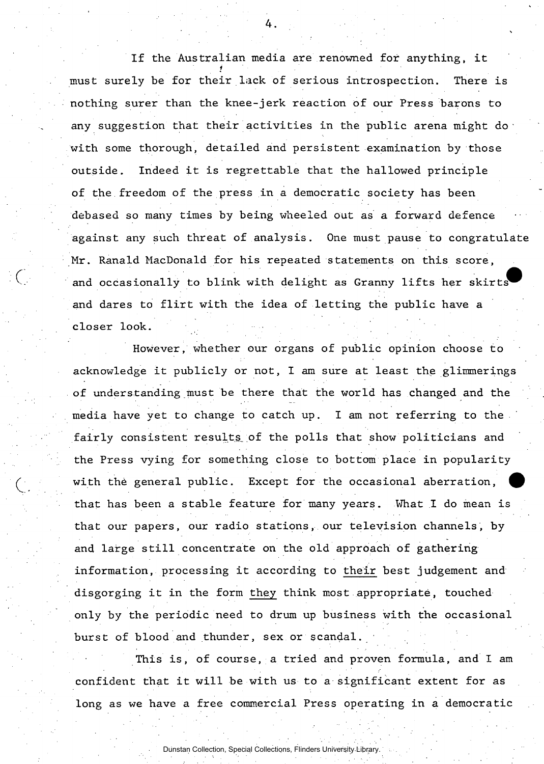If the Australian media are renowned for anything, it *t*  must surely be for their lack of serious introspection. There is nothing surer than the knee-jerk reaction of our Press barons to any suggestion that their activities in the public arena might do with some thorough, detailed and persistent examination by those outside. Indeed it is regrettable that the hallowed principle of the freedom of the press in a democratic society has been debased so many times by being wheeled out as a forward defence against any such threat of analysis. One must pause to congratulate Mr. Ranald MacDonald for his repeated statements on this score, and occasionally to blink with delight as Granny lifts her skirts and dares to flirt with the idea of letting the public have a closer look.

However, whether our organs of public opinion choose to acknowledge it publicly or not, I am sure at least the glimmerings of understanding must be there that the world has changed and the media have yet to change to catch up. I am not referring to the fairly consistent results, of the polls that show politicians and the Press vying for something close to bottom place in popularity with the general public. Except for the occasional aberration, that has been a stable feature for many years. What I do mean is that our papers, our radio stations, our television channels, by and large still concentrate on the old approach of gathering information, processing it according to their best judgement and disgorging it in the form they think most appropriate, touched only by the periodic need to drum up business with the occasional burst of blood and thunder, sex or scandal.

This is, of course, a tried and proven formula, and I am confident that it will be with us to a significant extent for as long as we have a free commercial Press operating in a democratic

Dunstan Collection, Special Collections, Flinders University Library.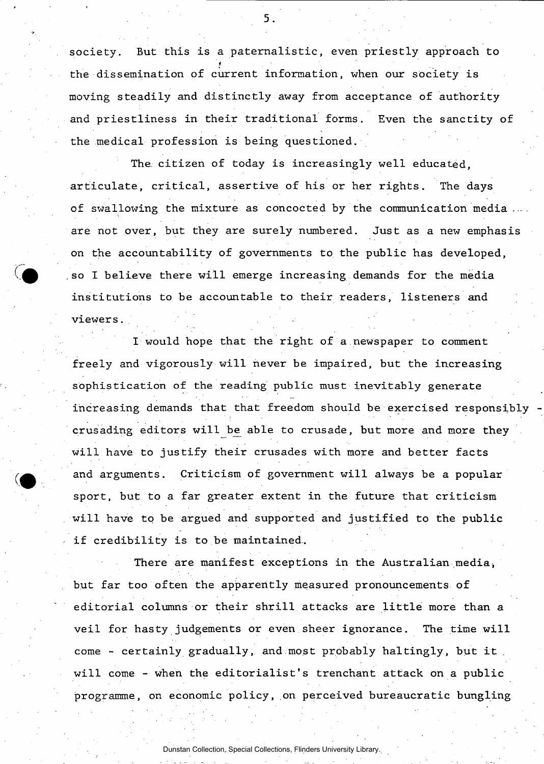society. But this is a paternalistic, even priestly approach to the dissemination of current information, when our society is the dissemination of current information of current information, when our society is  $\mathcal{C}$ moving steadily and distinctly away from acceptance of authority and distinctly away from acceptance of authority and and priestliness in their traditional forms. Even the sanctity of the medical profession is being questioned.

The citizen of today is increasingly well educated, articulate, critical, assertive of his or her rights. The days of swallowing the mixture as concocted by the communication media are not over, but they are surely numbered. Just as a new emphasis on the accountability of governments to the public has developed, so I believe there will emerge increasing demands for the media institutions to be accountable to their readers, listeners and viewers. -

I would hope that the right of a newspaper to comment freely and vigorously will never be impaired, but the increasing sophistication of the reading public must inevitably generate increasing demands that that freedom should be exercised responsibly crusading editors will be able to crusade, but more and more they will have to justify their crusades with more and better facts and arguments. Criticism of government will always be a popular sport, but to a far greater extent in the future that criticism will have to be argued and supported and justified to the public if credibility is to be maintained.

There are manifest exceptions in the Australian media, but far too often the apparently measured pronouncements of editorial columns or their shrill attacks are little more than a veil for hasty judgements or even sheer ignorance. The time will come - certainly gradually, and most probably haltingly, but it will come - when the editorialist's trenchant attack on a public programme, on economic policy, on perceived bureaucratic bungling

Dunstan Collection, Special Collections, Flinders University Library.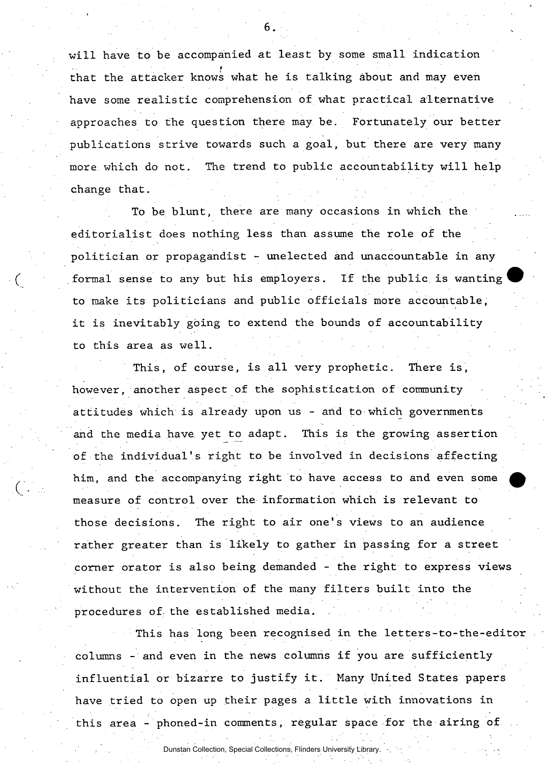will have to be accompanied at least by some small indication *t*  that the attacker knows what he is talking about and may even have some realistic comprehension of what practical alternative approaches to the question there may be. Fortunately our better publications strive towards such a goal, but there are very many more which do not. The trend to public accountability will help change that.

To be blunt, there are many occasions in which the editorialist does nothing less than assume the role of the politician or propagandist - unelected and unaccountable in any formal sense to any but his employers. If the public is wanting ^^ to make its politicians and public officials more accountable, it is inevitably going to extend the bounds of accountability to this area as well.

This, of course, is all very prophetic. There is, however, another aspect of the sophistication of community attitudes which is already upon us - and to which governments and the media have, yet to adapt. This is the growing assertion of the individual's right to be involved in decisions affecting him, and the accompanying right to have access to and even some measure of control over the information which is relevant to those decisions. The right to air one's views to an audience rather greater than is likely to gather in passing for a street corner orator is also being demanded - the right to express views without the intervention of the many filters built into the procedures of. the established media.

This has long been recognised in the letters-to-the-editor columns - and even in the news columns if you are sufficiently influential or bizarre to justify it. Many United States papers have tried to open up their pages a little with innovations in this area - phoned-in comments, regular space for the airing of

Dunstan Collection, Special Collections, Flinders University Library.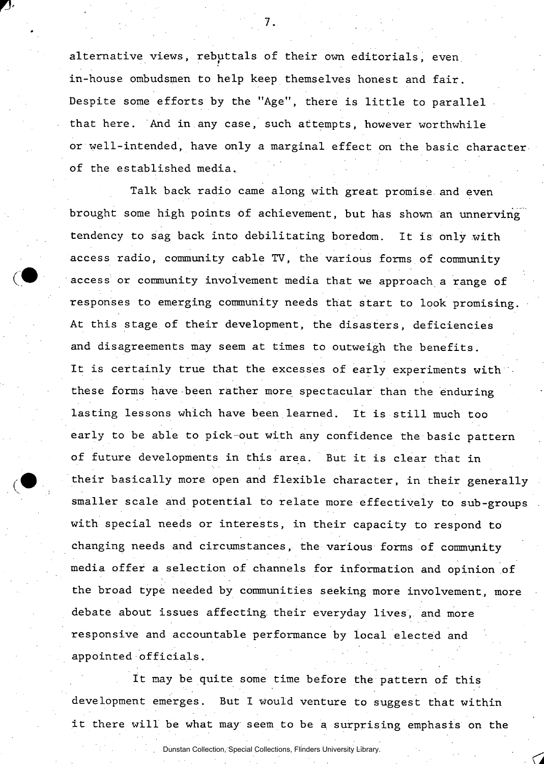alternative views, rebuttals of their own editorials, even, in-house ombudsmen to help keep themselves honest and fair. Despite some efforts by the "Age", there is little to parallel that here. And in any case, such attempts, however worthwhile or well-intended, have only a marginal effect on the basic character of the established media..

Talk back radio came along with great promise, and even brought some high points of achievement, but has shown an unnerving tendency to sag back into debilitating boredom. It is only with access radio, community cable TV, the various forms of community access or community involvement media that we approach a range of responses to emerging community needs that start to look promising. At this stage of their development, the disasters, deficiencies and disagreements may seem at times to outweigh the benefits. It is certainly true that the excesses of early experiments with these forms have been rather more spectacular than the enduring lasting lessons which have been learned. It is still much too early to be able to pick-out with any confidence the basic pattern of future developments in this area. But it is clear that in their basically more open and flexible character, in their generally smaller scale and potential to relate more effectively to sub-groups with special needs or interests, in their capacity to respond to changing needs and circumstances, the various forms of community media offer a selection of channels for information and opinion of the broad type needed by communities seeking more involvement, more debate about issues affecting their everyday lives, and more responsive and accountable performance by local elected and appointed officials.

It may be quite some time before the pattern of this development emerges. But I would venture to suggest that within it there will be what may seem to be a surprising emphasis on the

Dunstan Collection, Special Collections, Flinders University Library.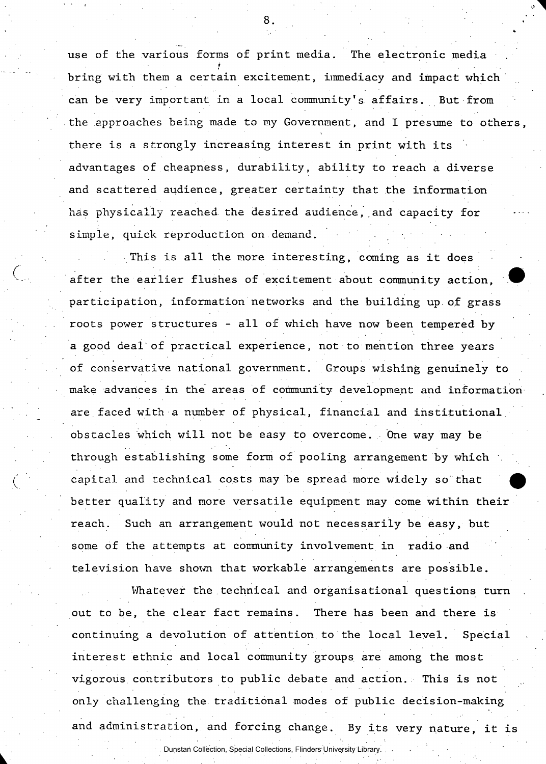use of the various forms of print media. The electronic media *t*  bring with them a certain excitement, immediacy and impact which can be very important in a local community's. affairs. But from the approaches being made to my Government, and I presume to others, there is a strongly increasing interest in print with its advantages of cheapness, durability, ability to reach a diverse and scattered audience, greater certainty that the information has physically reached the desired audience, and capacity for simple, quick reproduction on demand.

This is all the more interesting, coming as it does after the earlier flushes of excitement about community action, participation, information networks and the building up. of grass roots power structures - all of which have now been tempered by a good deal of practical experience, not to mention three years of conservative national government. Groups wishing genuinely to make advances in the areas of community development and information are.faced with a number of physical, financial and institutional obstacles which will not be easy to overcome. One way may be through establishing some form of pooling arrangement by which capital and technical costs may be spread more widely so that better quality and more versatile equipment may come within their reach. Such an arrangement would not necessarily be easy, but some of the attempts at community involvement in radio and television have shown that workable arrangements are possible.

Whatever the technical and organisational questions turn out to be, the clear fact remains. There has been and there is continuing a devolution of attention to the local level. Special interest ethnic and local community groups are among the most vigorous contributors to public debate and action. This is not only challenging the traditional modes of public decision-making and administration, and forcing change. By its very nature, it is

Dunstan Collection, Special Collections, Flinders University Library.